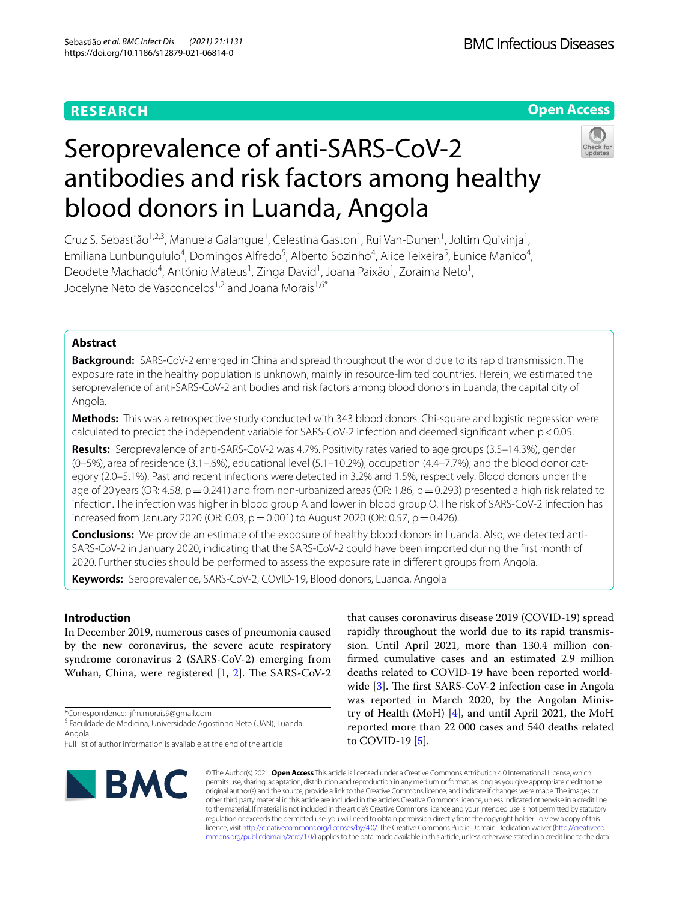## **RESEARCH**

## **Open Access**



# Seroprevalence of anti-SARS-CoV-2 antibodies and risk factors among healthy blood donors in Luanda, Angola

Cruz S. Sebastião<sup>1,2,3</sup>, Manuela Galangue<sup>1</sup>, Celestina Gaston<sup>1</sup>, Rui Van-Dunen<sup>1</sup>, Joltim Quivinja<sup>1</sup>, Emiliana Lunbungululo<sup>4</sup>, Domingos Alfredo<sup>5</sup>, Alberto Sozinho<sup>4</sup>, Alice Teixeira<sup>5</sup>, Eunice Manico<sup>4</sup>, Deodete Machado<sup>4</sup>, António Mateus<sup>1</sup>, Zinga David<sup>1</sup>, Joana Paixão<sup>1</sup>, Zoraima Neto<sup>1</sup>, Jocelyne Neto de Vasconcelos<sup>1,2</sup> and Joana Morais<sup>1,6\*</sup>

## **Abstract**

**Background:** SARS-CoV-2 emerged in China and spread throughout the world due to its rapid transmission. The exposure rate in the healthy population is unknown, mainly in resource-limited countries. Herein, we estimated the seroprevalence of anti-SARS-CoV-2 antibodies and risk factors among blood donors in Luanda, the capital city of Angola.

**Methods:** This was a retrospective study conducted with 343 blood donors. Chi-square and logistic regression were calculated to predict the independent variable for SARS-CoV-2 infection and deemed significant when  $p < 0.05$ .

**Results:** Seroprevalence of anti-SARS-CoV-2 was 4.7%. Positivity rates varied to age groups (3.5–14.3%), gender (0–5%), area of residence (3.1–.6%), educational level (5.1–10.2%), occupation (4.4–7.7%), and the blood donor category (2.0–5.1%). Past and recent infections were detected in 3.2% and 1.5%, respectively. Blood donors under the age of 20 years (OR: 4.58,  $p=0.241$ ) and from non-urbanized areas (OR: 1.86,  $p=0.293$ ) presented a high risk related to infection. The infection was higher in blood group A and lower in blood group O. The risk of SARS-CoV-2 infection has increased from January 2020 (OR: 0.03,  $p = 0.001$ ) to August 2020 (OR: 0.57,  $p = 0.426$ ).

**Conclusions:** We provide an estimate of the exposure of healthy blood donors in Luanda. Also, we detected anti-SARS-CoV-2 in January 2020, indicating that the SARS-CoV-2 could have been imported during the frst month of 2020. Further studies should be performed to assess the exposure rate in diferent groups from Angola.

**Keywords:** Seroprevalence, SARS-CoV-2, COVID-19, Blood donors, Luanda, Angola

## **Introduction**

In December 2019, numerous cases of pneumonia caused by the new coronavirus, the severe acute respiratory syndrome coronavirus 2 (SARS-CoV-2) emerging from Wuhan, China, were registered  $[1, 2]$  $[1, 2]$  $[1, 2]$  $[1, 2]$  $[1, 2]$ . The SARS-CoV-2

\*Correspondence: jfm.morais9@gmail.com

Full list of author information is available at the end of the article



that causes coronavirus disease 2019 (COVID-19) spread rapidly throughout the world due to its rapid transmission. Until April 2021, more than 130.4 million confrmed cumulative cases and an estimated 2.9 million deaths related to COVID-19 have been reported worldwide  $[3]$  $[3]$ . The first SARS-CoV-2 infection case in Angola was reported in March 2020, by the Angolan Ministry of Health (MoH) [[4\]](#page-8-3), and until April 2021, the MoH reported more than 22 000 cases and 540 deaths related to COVID-19 [\[5](#page-8-4)].

© The Author(s) 2021. **Open Access** This article is licensed under a Creative Commons Attribution 4.0 International License, which permits use, sharing, adaptation, distribution and reproduction in any medium or format, as long as you give appropriate credit to the original author(s) and the source, provide a link to the Creative Commons licence, and indicate if changes were made. The images or other third party material in this article are included in the article's Creative Commons licence, unless indicated otherwise in a credit line to the material. If material is not included in the article's Creative Commons licence and your intended use is not permitted by statutory regulation or exceeds the permitted use, you will need to obtain permission directly from the copyright holder. To view a copy of this licence, visit [http://creativecommons.org/licenses/by/4.0/.](http://creativecommons.org/licenses/by/4.0/) The Creative Commons Public Domain Dedication waiver ([http://creativeco](http://creativecommons.org/publicdomain/zero/1.0/) [mmons.org/publicdomain/zero/1.0/](http://creativecommons.org/publicdomain/zero/1.0/)) applies to the data made available in this article, unless otherwise stated in a credit line to the data.

<sup>&</sup>lt;sup>6</sup> Faculdade de Medicina, Universidade Agostinho Neto (UAN), Luanda, Angola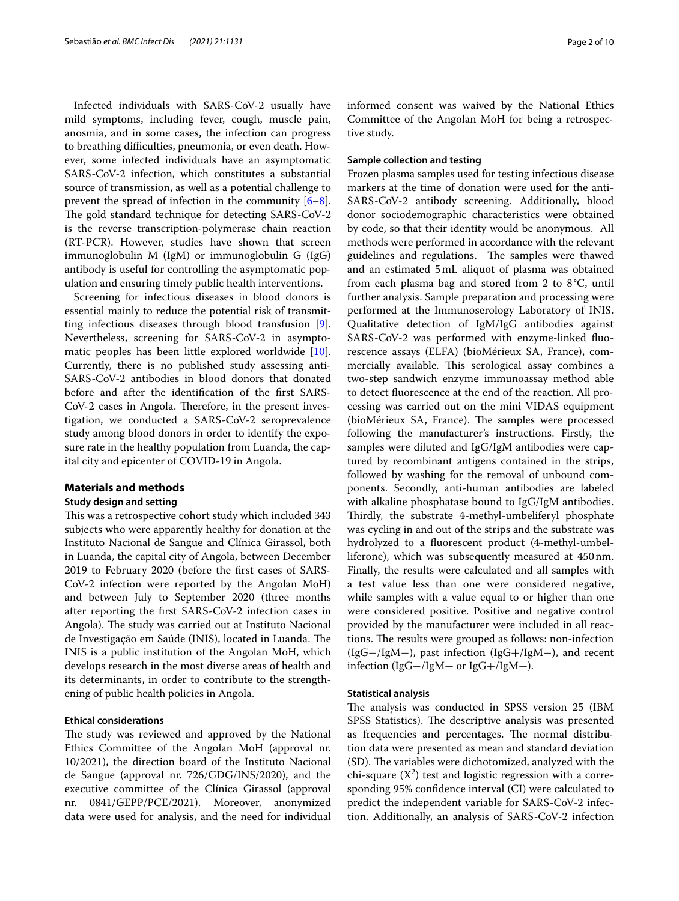Infected individuals with SARS-CoV-2 usually have mild symptoms, including fever, cough, muscle pain, anosmia, and in some cases, the infection can progress to breathing difficulties, pneumonia, or even death. However, some infected individuals have an asymptomatic SARS-CoV-2 infection, which constitutes a substantial source of transmission, as well as a potential challenge to prevent the spread of infection in the community [\[6](#page-8-5)[–8](#page-8-6)]. The gold standard technique for detecting SARS-CoV-2 is the reverse transcription-polymerase chain reaction (RT-PCR). However, studies have shown that screen immunoglobulin M (IgM) or immunoglobulin G (IgG) antibody is useful for controlling the asymptomatic population and ensuring timely public health interventions.

Screening for infectious diseases in blood donors is essential mainly to reduce the potential risk of transmitting infectious diseases through blood transfusion [\[9](#page-8-7)]. Nevertheless, screening for SARS-CoV-2 in asymptomatic peoples has been little explored worldwide [\[10](#page-8-8)]. Currently, there is no published study assessing anti-SARS-CoV-2 antibodies in blood donors that donated before and after the identifcation of the frst SARS-CoV-2 cases in Angola. Therefore, in the present investigation, we conducted a SARS-CoV-2 seroprevalence study among blood donors in order to identify the exposure rate in the healthy population from Luanda, the capital city and epicenter of COVID-19 in Angola.

#### **Materials and methods**

## **Study design and setting**

This was a retrospective cohort study which included 343 subjects who were apparently healthy for donation at the Instituto Nacional de Sangue and Clínica Girassol, both in Luanda, the capital city of Angola, between December 2019 to February 2020 (before the frst cases of SARS-CoV-2 infection were reported by the Angolan MoH) and between July to September 2020 (three months after reporting the frst SARS-CoV-2 infection cases in Angola). The study was carried out at Instituto Nacional de Investigação em Saúde (INIS), located in Luanda. The INIS is a public institution of the Angolan MoH, which develops research in the most diverse areas of health and its determinants, in order to contribute to the strengthening of public health policies in Angola.

#### **Ethical considerations**

The study was reviewed and approved by the National Ethics Committee of the Angolan MoH (approval nr. 10/2021), the direction board of the Instituto Nacional de Sangue (approval nr. 726/GDG/INS/2020), and the executive committee of the Clínica Girassol (approval nr. 0841/GEPP/PCE/2021). Moreover, anonymized data were used for analysis, and the need for individual informed consent was waived by the National Ethics Committee of the Angolan MoH for being a retrospective study.

#### **Sample collection and testing**

Frozen plasma samples used for testing infectious disease markers at the time of donation were used for the anti-SARS-CoV-2 antibody screening. Additionally, blood donor sociodemographic characteristics were obtained by code, so that their identity would be anonymous. All methods were performed in accordance with the relevant guidelines and regulations. The samples were thawed and an estimated 5mL aliquot of plasma was obtained from each plasma bag and stored from 2 to 8°C, until further analysis. Sample preparation and processing were performed at the Immunoserology Laboratory of INIS. Qualitative detection of IgM/IgG antibodies against SARS-CoV-2 was performed with enzyme-linked fuorescence assays (ELFA) (bioMérieux SA, France), commercially available. This serological assay combines a two-step sandwich enzyme immunoassay method able to detect fuorescence at the end of the reaction. All processing was carried out on the mini VIDAS equipment (bioMérieux SA, France). The samples were processed following the manufacturer's instructions. Firstly, the samples were diluted and IgG/IgM antibodies were captured by recombinant antigens contained in the strips, followed by washing for the removal of unbound components. Secondly, anti-human antibodies are labeled with alkaline phosphatase bound to IgG/IgM antibodies. Thirdly, the substrate 4-methyl-umbeliferyl phosphate was cycling in and out of the strips and the substrate was hydrolyzed to a fuorescent product (4-methyl-umbelliferone), which was subsequently measured at 450nm. Finally, the results were calculated and all samples with a test value less than one were considered negative, while samples with a value equal to or higher than one were considered positive. Positive and negative control provided by the manufacturer were included in all reactions. The results were grouped as follows: non-infection (IgG−/IgM−), past infection (IgG+/IgM−), and recent infection (IgG−/IgM+ or IgG+/IgM+).

#### **Statistical analysis**

The analysis was conducted in SPSS version 25 (IBM SPSS Statistics). The descriptive analysis was presented as frequencies and percentages. The normal distribution data were presented as mean and standard deviation (SD). The variables were dichotomized, analyzed with the chi-square  $(X^2)$  test and logistic regression with a corresponding 95% confdence interval (CI) were calculated to predict the independent variable for SARS-CoV-2 infection. Additionally, an analysis of SARS-CoV-2 infection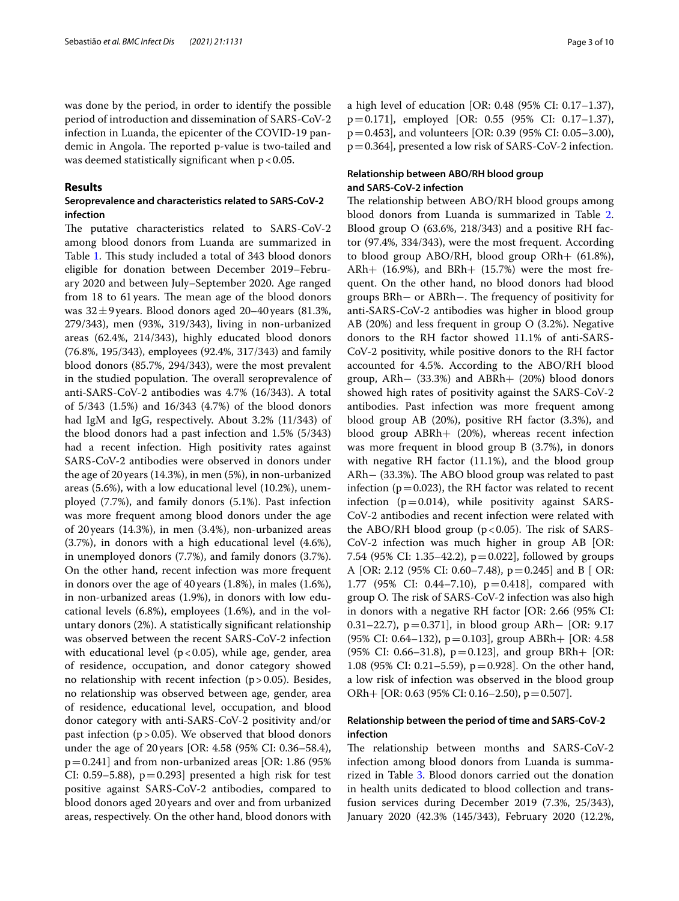was done by the period, in order to identify the possible period of introduction and dissemination of SARS-CoV-2 infection in Luanda, the epicenter of the COVID-19 pandemic in Angola. The reported p-value is two-tailed and was deemed statistically significant when  $p < 0.05$ .

#### **Results**

## **Seroprevalence and characteristics related to SARS‑CoV‑2 infection**

The putative characteristics related to SARS-CoV-2 among blood donors from Luanda are summarized in Table [1.](#page-3-0) This study included a total of 343 blood donors eligible for donation between December 2019–February 2020 and between July–September 2020. Age ranged from 18 to 61 years. The mean age of the blood donors was  $32 \pm 9$  years. Blood donors aged 20–40 years (81.3%, 279/343), men (93%, 319/343), living in non-urbanized areas (62.4%, 214/343), highly educated blood donors (76.8%, 195/343), employees (92.4%, 317/343) and family blood donors (85.7%, 294/343), were the most prevalent in the studied population. The overall seroprevalence of anti-SARS-CoV-2 antibodies was 4.7% (16/343). A total of 5/343 (1.5%) and 16/343 (4.7%) of the blood donors had IgM and IgG, respectively. About 3.2% (11/343) of the blood donors had a past infection and 1.5% (5/343) had a recent infection. High positivity rates against SARS-CoV-2 antibodies were observed in donors under the age of 20years (14.3%), in men (5%), in non-urbanized areas (5.6%), with a low educational level (10.2%), unemployed (7.7%), and family donors (5.1%). Past infection was more frequent among blood donors under the age of 20years (14.3%), in men (3.4%), non-urbanized areas (3.7%), in donors with a high educational level (4.6%), in unemployed donors (7.7%), and family donors (3.7%). On the other hand, recent infection was more frequent in donors over the age of 40 years (1.8%), in males (1.6%), in non-urbanized areas (1.9%), in donors with low educational levels (6.8%), employees (1.6%), and in the voluntary donors (2%). A statistically signifcant relationship was observed between the recent SARS-CoV-2 infection with educational level ( $p$ <0.05), while age, gender, area of residence, occupation, and donor category showed no relationship with recent infection  $(p>0.05)$ . Besides, no relationship was observed between age, gender, area of residence, educational level, occupation, and blood donor category with anti-SARS-CoV-2 positivity and/or past infection  $(p > 0.05)$ . We observed that blood donors under the age of 20years [OR: 4.58 (95% CI: 0.36–58.4),  $p=0.241$ ] and from non-urbanized areas [OR: 1.86 (95%) CI: 0.59–5.88),  $p=0.293$ ] presented a high risk for test positive against SARS-CoV-2 antibodies, compared to blood donors aged 20years and over and from urbanized areas, respectively. On the other hand, blood donors with a high level of education [OR: 0.48 (95% CI: 0.17–1.37), p=0.171], employed [OR: 0.55 (95% CI: 0.17–1.37), p=0.453], and volunteers [OR: 0.39 (95% CI: 0.05–3.00), p=0.364], presented a low risk of SARS-CoV-2 infection.

## **Relationship between ABO/RH blood group and SARS‑CoV‑2 infection**

The relationship between ABO/RH blood groups among blood donors from Luanda is summarized in Table [2](#page-4-0). Blood group O (63.6%, 218/343) and a positive RH factor (97.4%, 334/343), were the most frequent. According to blood group ABO/RH, blood group ORh+ (61.8%), ARh+  $(16.9\%)$ , and BRh+  $(15.7\%)$  were the most frequent. On the other hand, no blood donors had blood groups BRh– or ABRh–. The frequency of positivity for anti-SARS-CoV-2 antibodies was higher in blood group AB (20%) and less frequent in group O (3.2%). Negative donors to the RH factor showed 11.1% of anti-SARS-CoV-2 positivity, while positive donors to the RH factor accounted for 4.5%. According to the ABO/RH blood group, ARh− (33.3%) and ABRh+ (20%) blood donors showed high rates of positivity against the SARS-CoV-2 antibodies. Past infection was more frequent among blood group AB (20%), positive RH factor (3.3%), and blood group ABRh+ (20%), whereas recent infection was more frequent in blood group B (3.7%), in donors with negative RH factor (11.1%), and the blood group ARh− (33.3%). The ABO blood group was related to past infection ( $p=0.023$ ), the RH factor was related to recent infection ( $p=0.014$ ), while positivity against SARS-CoV-2 antibodies and recent infection were related with the ABO/RH blood group ( $p < 0.05$ ). The risk of SARS-CoV-2 infection was much higher in group AB [OR: 7.54 (95% CI: 1.35–42.2),  $p=0.022$ ], followed by groups A [OR: 2.12 (95% CI: 0.60–7.48), p=0.245] and B [ OR: 1.77 (95% CI: 0.44–7.10), p=0.418], compared with group O. The risk of SARS-CoV-2 infection was also high in donors with a negative RH factor [OR: 2.66 (95% CI: 0.31–22.7), p=0.371], in blood group ARh− [OR: 9.17 (95% CI: 0.64–132), p=0.103], group ABRh+ [OR: 4.58 (95% CI: 0.66–31.8),  $p=0.123$ ], and group BRh+ [OR: 1.08 (95% CI: 0.21–5.59), p=0.928]. On the other hand, a low risk of infection was observed in the blood group ORh + [OR: 0.63 (95% CI: 0.16–2.50),  $p = 0.507$ ].

## **Relationship between the period of time and SARS‑CoV‑2 infection**

The relationship between months and SARS-CoV-2 infection among blood donors from Luanda is summarized in Table [3.](#page-5-0) Blood donors carried out the donation in health units dedicated to blood collection and transfusion services during December 2019 (7.3%, 25/343), January 2020 (42.3% (145/343), February 2020 (12.2%,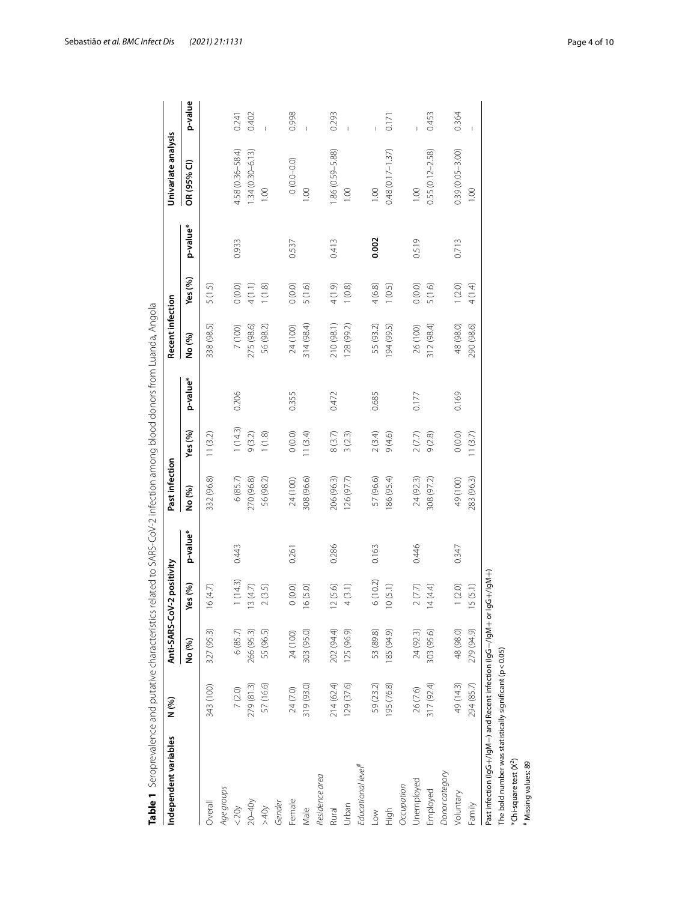| Independent variables                                         | N (%)      | Anti-SARS-C | oV-2 positivity |          | Past infection |         |          | Recent infection |               |          | Univariate analysis |                |
|---------------------------------------------------------------|------------|-------------|-----------------|----------|----------------|---------|----------|------------------|---------------|----------|---------------------|----------------|
|                                                               |            | No (%)      | Yes (%)         | p-value* | No (%)         | Yes (%) | p-value* | No (%)           | Yes (%)       | p-value* | OR (95% CI)         | p-value        |
| Overall                                                       | 343 (100)  | 327 (95.3)  | 16(4.7)         |          | 332 (96.8)     | 11(3.2) |          | 338 (98.5)       | 5(1.5)        |          |                     |                |
| Age groups                                                    |            |             |                 |          |                |         |          |                  |               |          |                     |                |
| < 20y                                                         | 7(2.0)     | 6(85.7)     | 1(14.3)         | 0.443    | 6(85.7)        | 1(14.3) | 0.206    | 7 (100)          | (0.0)0        | 0.933    | 4.58 (0.36-58.4)    | 0.241          |
| $20 - 40y$                                                    | 279 (81.3) | 266 (95.3)  | 13(4.7)         |          | 270 (96.8)     | 9(3.2)  |          | 275 (98.6)       | 4(1.1)        |          | $1.34(0.30 - 6.13)$ | 0.402          |
| >40                                                           | 57 (16.6)  | 55 (96.5)   | $2(3.5)$        |          | 56 (98.2)      | 1(1.8)  |          | 56 (98.2)        | 1(1.8)        |          | 00.1                | $\overline{1}$ |
| Gender                                                        |            |             |                 |          |                |         |          |                  |               |          |                     |                |
| Female                                                        | 24(7.0)    | 24 (100)    | 0(0.0)          | 0.261    | 24 (100)       | (0.0)   | 0.355    | 24 (100)         | 0(0.0)        | 0.537    | $0(0.0 - 0.0)$      | 0.998          |
| Male                                                          | 319 (93.0) | 303 (95.0)  | 16(5.0)         |          | 308 (96.6)     | 11(3.4) |          | 314 (98.4)       | 5(1.6)        |          | 00.1                | $\overline{1}$ |
| Residence area                                                |            |             |                 |          |                |         |          |                  |               |          |                     |                |
| Rural                                                         | 214 (62.4) | 202 (94.4)  | 12(5.6)         | 0.286    | 206 (96.3)     | 8(3.7)  | 0.472    | 210 (98.1)       | $(6.1)$ $\pm$ | 0.413    | 1.86 (0.59-5.88)    | 0.293          |
| Urban                                                         | 129 (37.6) | 125 (96.9)  | 4(3.1)          |          | 126 (97.7)     | 3(2.3)  |          | 128 (99.2)       | (0.8)         |          | 00.1                | $\overline{1}$ |
| Educational level <sup>#</sup>                                |            |             |                 |          |                |         |          |                  |               |          |                     |                |
| $\geq$                                                        | 59 (23.2)  | 53 (89.8)   | 6(10.2)         | 0.163    | 57 (96.6)      | 2(3.4)  | 0.685    | 55 (93.2)        | 4(6.8)        | 0.002    | 0.001               |                |
| High                                                          | 195 (76.8) | (676) 581   | 10(5.1)         |          | 186 (95.4)     | 9(4.6)  |          | 94 (99.5)        | (0.5)         |          | $0.48(0.17 - 1.37)$ | 0.171          |
| Occupation                                                    |            |             |                 |          |                |         |          |                  |               |          |                     |                |
| Unemployed                                                    | 26 (7.6)   | 24 (92.3)   | $2\ (7.7)$      | 0.446    | 24 (92.3)      | 2(7.7)  | 0.177    | 26 (100)         | 0(0.0)        | 0.519    | 00.1                |                |
| Employed                                                      | 317 (92.4) | 303 (95.6)  | 14(4.4)         |          | 308 (97.2)     | 9(2.8)  |          | 312 (98.4)       | 5(1.6)        |          | $0.55(0.12 - 2.58)$ | 0.453          |
| Donor category                                                |            |             |                 |          |                |         |          |                  |               |          |                     |                |
| Voluntary                                                     | 49 (14.3)  | 48 (98.0)   | (2.0)           | 0.347    | 49 (100)       | 0(0.0)  | 0.169    | 48 (98.0)        | 1(2.0)        | 0.713    | $0.39(0.05 - 3.00)$ | 0.364          |
| Family                                                        | 294 (85.7) | 279 (94.9)  | 15(5.1)         |          | 283 (96.3)     | 11(3.7) |          | 290 (98.6)       | 4 (1.4)       |          | $\frac{8}{100}$     | $\mathbf{I}$   |
| Past infection (IgG+/IgM-) and Recent infection (IgG-/IgM+ or |            |             | $(400 + 56)$    |          |                |         |          |                  |               |          |                     |                |
| The bold number was statistically significant ( $p < 0.05$ )  |            |             |                 |          |                |         |          |                  |               |          |                     |                |
| *Chi-square test (X <sup>2</sup> )                            |            |             |                 |          |                |         |          |                  |               |          |                     |                |
| # Missing values: 89                                          |            |             |                 |          |                |         |          |                  |               |          |                     |                |

Sebastião *et al. BMC Infect Dis (2021) 21:1131* Page 4 of 10

<span id="page-3-0"></span>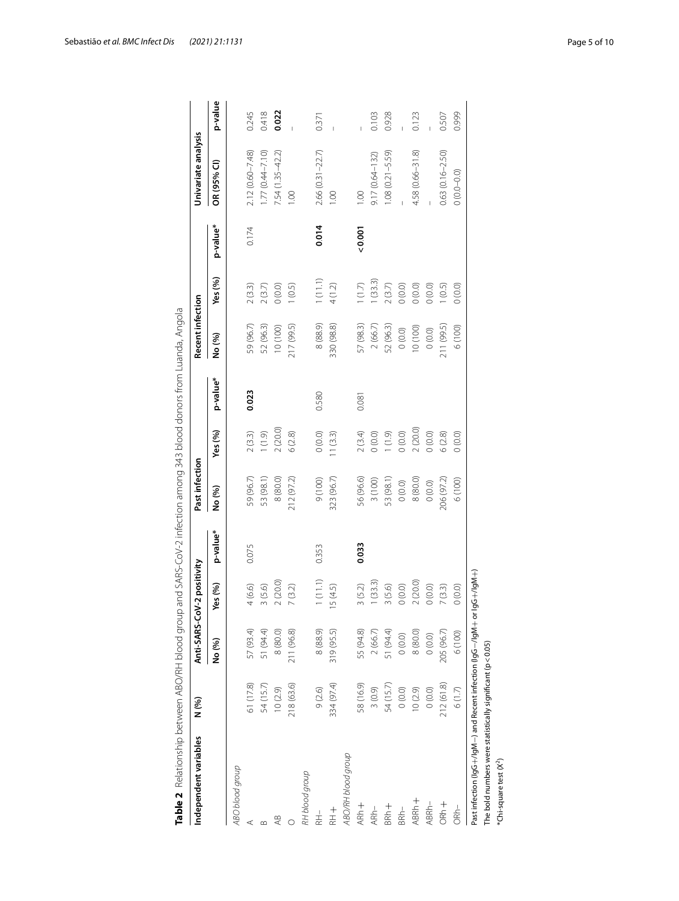<span id="page-4-0"></span>

|                    | N (%)      |            | Anti-SARS-CoV-2 positivity |          | Past infection |          |          | Recent infection  |          |          | Univariate analysis |         |
|--------------------|------------|------------|----------------------------|----------|----------------|----------|----------|-------------------|----------|----------|---------------------|---------|
|                    |            | No (%)     | Yes (%)                    | p-value* | No (%)         | Yes (%)  | p-value* | No (%)            | Yes (%)  | p-value* | OR (95% CI)         | p-value |
| ABO blood group    |            |            |                            |          |                |          |          |                   |          |          |                     |         |
|                    | 61 (17.8)  | 57 (93.4)  | 4(6.6)                     | 0.075    | 59 (96.7)      | 2(3.3)   | 0.023    | 59 (96.7)         | 2(3.3)   | 0.174    | $2.12(0.60 - 7.48)$ | 0.245   |
|                    | 54 (15.7)  | 51 (94.4)  | 3(5.6)                     |          | 53 (98.1)      | (1.9)    |          | 52 (96.3)         | 2(3.7)   |          | $.77(0.44 - 7.10)$  | 0.418   |
| ₽                  | 10(2.9)    | 8 (80.0)   | 2(20.0)                    |          | 8 (80.0)       | 2(20.0)  |          | 10 (100)          | 0(0.0)   |          | $7.54(1.35 - 42.2)$ | 0.022   |
|                    | 218 (63.6) | 211 (96.8) | 7(3.2)                     |          | 212 (97.2)     | 6(2.8)   |          | <b>217 (99.5)</b> | (0.5)    |          | $\frac{8}{1}$       |         |
| RH blood group     |            |            |                            |          |                |          |          |                   |          |          |                     |         |
| RH-                | 9(2.6)     | 8 (88.9)   | 1(11.1)                    | 0.353    | 9 (100)        | (0.0)0   | 0.580    | 8(88.9)           | 1(11.1)  | 0.014    | 2.66 (0.31 - 22.7)  | 0.371   |
| $+$<br>$+$<br>$+$  | 334 (97.4) | 319 (95.5) | 5 (4.5)                    |          | 323 (96.7)     | 11(3.3)  |          | 330 (98.8)        | 4(1.2)   |          | 00.1                |         |
| ABO/RH blood group |            |            |                            |          |                |          |          |                   |          |          |                     |         |
| $ARh +$            | 58 (16.9)  | 55 (94.8)  | 3(5.2)                     | 0.033    | 56 (96.6)      | 2(3.4)   | 0.081    | 57 (98.3)         | $(1.7)$  | 0.001    | 0.00                |         |
| $ARh-$             | 3(0.9)     | 2(66.7)    | 1(33.3)                    |          | 3(100)         | $0(0.0)$ |          | 2(66.7)           | 1(33.3)  |          | $9.17(0.64 - 132)$  | 0.103   |
| BRh+               | 54 (15.7)  | 51 (94.4)  | 3(5.6)                     |          | 53 (98.1)      | (1.9)    |          | 52 (96.3)         | $2(3.7)$ |          | $1.08(0.21 - 5.59)$ | 0.928   |
| $BRh-$             | (0.0)0     | (0.0)0     | (0.0)                      |          | $0(0.0)$       | (0.0)    |          | (0.0)             | $0.00$   |          |                     |         |
| ABRh+              | 10(2.9)    | 8(80.0)    | 2(20.0)                    |          | 8(80.0)        | 2(20.0)  |          | 10(100)           | $0.00$   |          | 4.58 (0.66-31.8)    | 0.123   |
| ABRh-              | 0(0.0)     | (0.0)      | $0(0.0)$                   |          | $0(0.0)$       | (0.0)    |          | (0.0)             | $0.00$   |          |                     |         |
| ORh +              | 212 (61.8) | 205 (96.7) | 7(3.3)                     |          | 206 (97.2)     | $6(2.8)$ |          | 211 (99.5)        | (0.5)    |          | $0.63(0.16 - 2.50)$ | 0.507   |
| ORh-               | 6(1.7)     | 6 (100)    | 0(0.0)                     |          | 6 (100)        | (0.0)0   |          | 6(100)            | (0.0)    |          | $0(0.0 - 0.0)$      | 0.999   |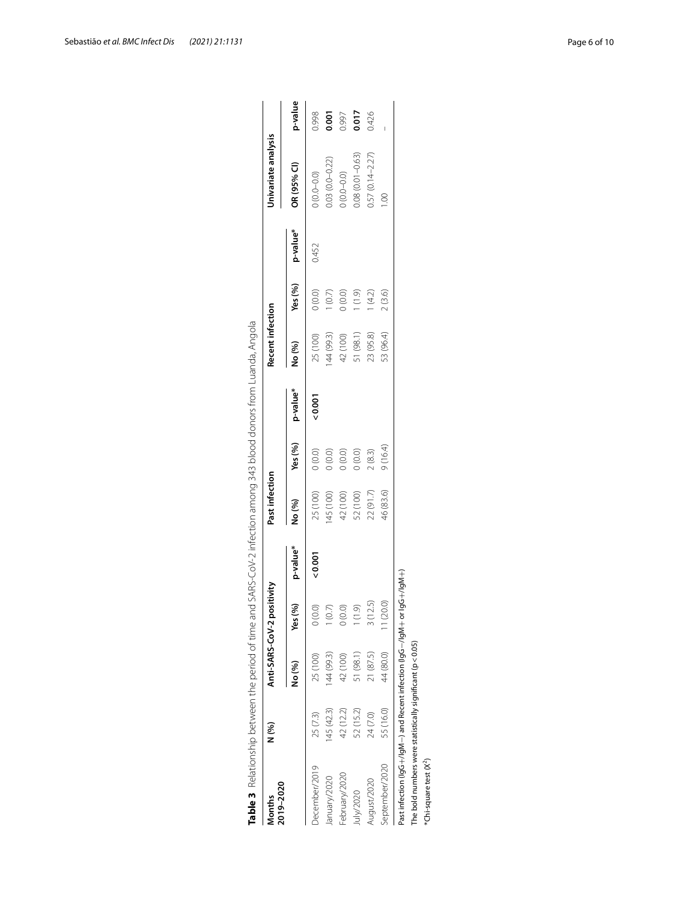| 2019-2020<br>Months                                                      | N (%)      |           | Anti-SARS-CoV-2 positivity |          | Past infection |         |          | <b>Recent infection</b> |           |          | Univariate analysis |         |
|--------------------------------------------------------------------------|------------|-----------|----------------------------|----------|----------------|---------|----------|-------------------------|-----------|----------|---------------------|---------|
|                                                                          |            | No (%)    | (%)<br>Yes                 | p-value* | No (%)         | Yes (%) | p-value* | No (%)                  | Yes $(%)$ | p-value* | OR (95% CI)         | p-value |
| December/2019                                                            | 25 (7.3)   | 25 (100)  | (0.0)                      | 0.001    | 25 (100)       | (0.0)   | 0.001    | 25 (100)                | (0.0)0    | 0.452    | $(0.0 - 0.0)$       | 0.998   |
| January/2020                                                             | 145 (42.3) | 44 (99.3) | (0.7)                      |          | (100) 541      | $0.00$  |          | 44 (99.3)               | (0.7)     |          | $0.03(0.0 - 0.22)$  | 0.001   |
| February/2020                                                            | 42 (12.2)  | 42 (100)  | 0(0.0)                     |          | 42 (100)       | $0.00$  |          | 42 (100)                | 0(0.0)    |          | $(0.0 - 0.0)$       | 0.997   |
| uly/2020                                                                 | 52 (15.2)  | 51 (98.1) | (1.9)                      |          | 52 (100)       | 0(0.0)  |          | 51 (98.1)               | (0.9)     |          | 0.08 (0.01-0.63)    | 0.017   |
| August/2020                                                              | 24 (7.0)   | 21 (87.5) | 3(12.5)                    |          | 22 (91.7)      | 2(8.3)  |          | 23 (95.8)               | (4.2)     |          | $0.57(0.14 - 2.27)$ | 0.426   |
| September/2020                                                           | 55 (16.0)  | 44 (80.0) | 1(20.0)                    |          | 46 (83.6)      | 9(16.4) |          | 53 (96.4)               | 2(3.6)    |          |                     |         |
| Past infection (lgG+/lgM-) and Recent infection (lgG-/lgM+ or lgG+/lgM+) |            |           |                            |          |                |         |          |                         |           |          |                     |         |
| The bold numbers were statistically significant ( $p < 0.05$ )           |            |           |                            |          |                |         |          |                         |           |          |                     |         |
| *Chi-square test (X <sup>2</sup> )                                       |            |           |                            |          |                |         |          |                         |           |          |                     |         |

<span id="page-5-0"></span>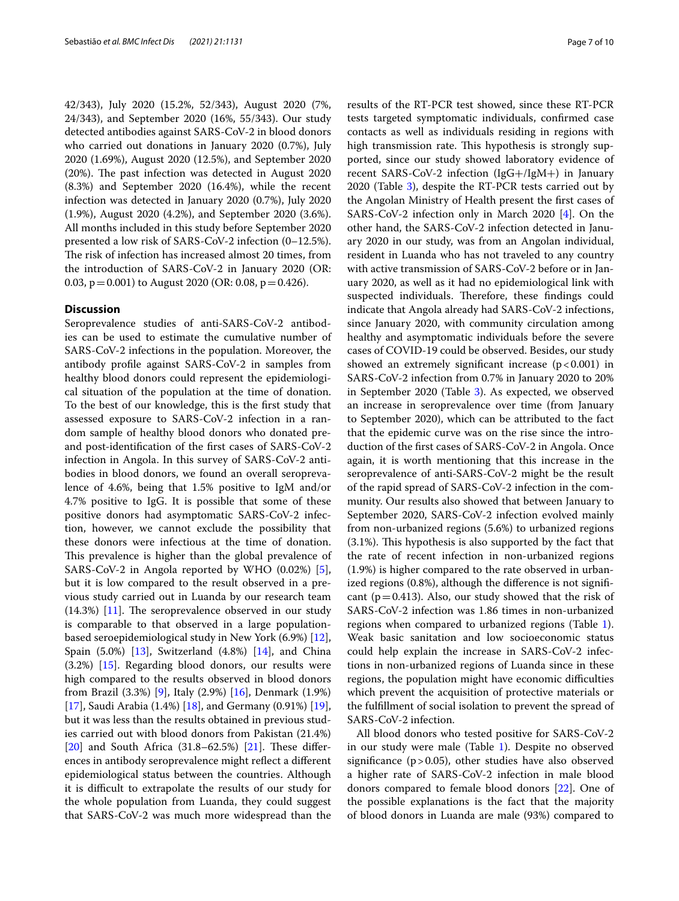42/343), July 2020 (15.2%, 52/343), August 2020 (7%, 24/343), and September 2020 (16%, 55/343). Our study detected antibodies against SARS-CoV-2 in blood donors who carried out donations in January 2020 (0.7%), July 2020 (1.69%), August 2020 (12.5%), and September 2020  $(20%)$ . The past infection was detected in August 2020 (8.3%) and September 2020 (16.4%), while the recent infection was detected in January 2020 (0.7%), July 2020 (1.9%), August 2020 (4.2%), and September 2020 (3.6%). All months included in this study before September 2020 presented a low risk of SARS-CoV-2 infection (0–12.5%). The risk of infection has increased almost 20 times, from the introduction of SARS-CoV-2 in January 2020 (OR: 0.03,  $p = 0.001$ ) to August 2020 (OR: 0.08,  $p = 0.426$ ).

#### **Discussion**

Seroprevalence studies of anti-SARS-CoV-2 antibodies can be used to estimate the cumulative number of SARS-CoV-2 infections in the population. Moreover, the antibody profle against SARS-CoV-2 in samples from healthy blood donors could represent the epidemiological situation of the population at the time of donation. To the best of our knowledge, this is the frst study that assessed exposure to SARS-CoV-2 infection in a random sample of healthy blood donors who donated preand post-identifcation of the frst cases of SARS-CoV-2 infection in Angola. In this survey of SARS-CoV-2 antibodies in blood donors, we found an overall seroprevalence of 4.6%, being that 1.5% positive to IgM and/or 4.7% positive to IgG. It is possible that some of these positive donors had asymptomatic SARS-CoV-2 infection, however, we cannot exclude the possibility that these donors were infectious at the time of donation. This prevalence is higher than the global prevalence of SARS-CoV-2 in Angola reported by WHO (0.02%) [\[5](#page-8-4)], but it is low compared to the result observed in a previous study carried out in Luanda by our research team  $(14.3%)$  [[11\]](#page-8-9). The seroprevalence observed in our study is comparable to that observed in a large populationbased seroepidemiological study in New York (6.9%) [\[12](#page-9-0)], Spain (5.0%) [\[13\]](#page-9-1), Switzerland (4.8%) [\[14](#page-9-2)], and China (3.2%) [[15\]](#page-9-3). Regarding blood donors, our results were high compared to the results observed in blood donors from Brazil (3.3%) [[9\]](#page-8-7), Italy (2.9%) [\[16\]](#page-9-4), Denmark (1.9%) [[17\]](#page-9-5), Saudi Arabia (1.4%) [\[18](#page-9-6)], and Germany (0.91%) [\[19](#page-9-7)], but it was less than the results obtained in previous studies carried out with blood donors from Pakistan (21.4%) [[20\]](#page-9-8) and South Africa  $(31.8-62.5%)$  [\[21](#page-9-9)]. These differences in antibody seroprevalence might refect a diferent epidemiological status between the countries. Although it is difficult to extrapolate the results of our study for the whole population from Luanda, they could suggest that SARS-CoV-2 was much more widespread than the results of the RT-PCR test showed, since these RT-PCR tests targeted symptomatic individuals, confrmed case contacts as well as individuals residing in regions with high transmission rate. This hypothesis is strongly supported, since our study showed laboratory evidence of recent SARS-CoV-2 infection (IgG+/IgM+) in January 2020 (Table [3\)](#page-5-0), despite the RT-PCR tests carried out by the Angolan Ministry of Health present the frst cases of SARS-CoV-2 infection only in March 2020 [\[4\]](#page-8-3). On the other hand, the SARS-CoV-2 infection detected in January 2020 in our study, was from an Angolan individual, resident in Luanda who has not traveled to any country with active transmission of SARS-CoV-2 before or in January 2020, as well as it had no epidemiological link with suspected individuals. Therefore, these findings could indicate that Angola already had SARS-CoV-2 infections, since January 2020, with community circulation among healthy and asymptomatic individuals before the severe cases of COVID-19 could be observed. Besides, our study showed an extremely significant increase  $(p < 0.001)$  in SARS-CoV-2 infection from 0.7% in January 2020 to 20% in September 2020 (Table [3](#page-5-0)). As expected, we observed an increase in seroprevalence over time (from January to September 2020), which can be attributed to the fact that the epidemic curve was on the rise since the introduction of the frst cases of SARS-CoV-2 in Angola. Once again, it is worth mentioning that this increase in the seroprevalence of anti-SARS-CoV-2 might be the result of the rapid spread of SARS-CoV-2 infection in the community. Our results also showed that between January to September 2020, SARS-CoV-2 infection evolved mainly from non-urbanized regions (5.6%) to urbanized regions  $(3.1\%)$ . This hypothesis is also supported by the fact that the rate of recent infection in non-urbanized regions (1.9%) is higher compared to the rate observed in urbanized regions (0.8%), although the diference is not signifcant ( $p=0.413$ ). Also, our study showed that the risk of SARS-CoV-2 infection was 1.86 times in non-urbanized regions when compared to urbanized regions (Table [1](#page-3-0)). Weak basic sanitation and low socioeconomic status could help explain the increase in SARS-CoV-2 infections in non-urbanized regions of Luanda since in these regions, the population might have economic difficulties which prevent the acquisition of protective materials or the fulfllment of social isolation to prevent the spread of SARS-CoV-2 infection.

All blood donors who tested positive for SARS-CoV-2 in our study were male (Table [1](#page-3-0)). Despite no observed signifcance (p>0.05), other studies have also observed a higher rate of SARS-CoV-2 infection in male blood donors compared to female blood donors [\[22](#page-9-10)]. One of the possible explanations is the fact that the majority of blood donors in Luanda are male (93%) compared to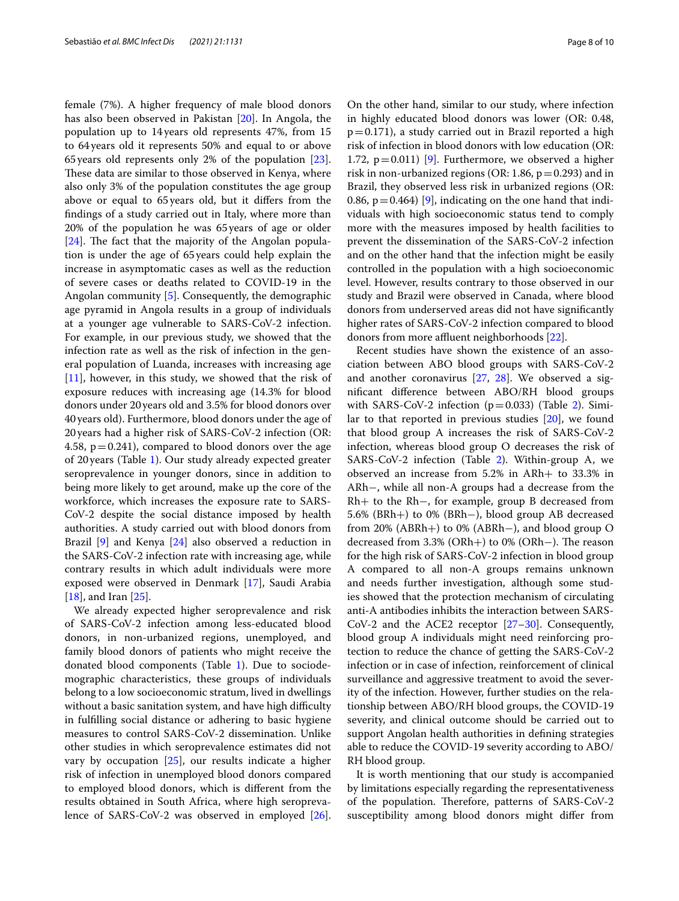female (7%). A higher frequency of male blood donors has also been observed in Pakistan [[20\]](#page-9-8). In Angola, the population up to 14years old represents 47%, from 15 to 64years old it represents 50% and equal to or above 65years old represents only 2% of the population [\[23](#page-9-11)]. These data are similar to those observed in Kenya, where also only 3% of the population constitutes the age group above or equal to 65years old, but it difers from the fndings of a study carried out in Italy, where more than 20% of the population he was 65years of age or older  $[24]$  $[24]$ . The fact that the majority of the Angolan population is under the age of 65years could help explain the increase in asymptomatic cases as well as the reduction of severe cases or deaths related to COVID-19 in the Angolan community [\[5](#page-8-4)]. Consequently, the demographic age pyramid in Angola results in a group of individuals at a younger age vulnerable to SARS-CoV-2 infection. For example, in our previous study, we showed that the infection rate as well as the risk of infection in the general population of Luanda, increases with increasing age [[11\]](#page-8-9), however, in this study, we showed that the risk of exposure reduces with increasing age (14.3% for blood donors under 20years old and 3.5% for blood donors over 40years old). Furthermore, blood donors under the age of 20years had a higher risk of SARS-CoV-2 infection (OR: 4.58,  $p=0.241$ ), compared to blood donors over the age of 20years (Table [1](#page-3-0)). Our study already expected greater seroprevalence in younger donors, since in addition to being more likely to get around, make up the core of the workforce, which increases the exposure rate to SARS-CoV-2 despite the social distance imposed by health authorities. A study carried out with blood donors from Brazil [[9\]](#page-8-7) and Kenya [[24\]](#page-9-12) also observed a reduction in the SARS-CoV-2 infection rate with increasing age, while contrary results in which adult individuals were more exposed were observed in Denmark [\[17\]](#page-9-5), Saudi Arabia [[18\]](#page-9-6), and Iran [\[25](#page-9-13)].

We already expected higher seroprevalence and risk of SARS-CoV-2 infection among less-educated blood donors, in non-urbanized regions, unemployed, and family blood donors of patients who might receive the donated blood components (Table [1\)](#page-3-0). Due to sociodemographic characteristics, these groups of individuals belong to a low socioeconomic stratum, lived in dwellings without a basic sanitation system, and have high difficulty in fulflling social distance or adhering to basic hygiene measures to control SARS-CoV-2 dissemination. Unlike other studies in which seroprevalence estimates did not vary by occupation [\[25\]](#page-9-13), our results indicate a higher risk of infection in unemployed blood donors compared to employed blood donors, which is diferent from the results obtained in South Africa, where high seroprevalence of SARS-CoV-2 was observed in employed [\[26](#page-9-14)].

On the other hand, similar to our study, where infection in highly educated blood donors was lower (OR: 0.48,  $p=0.171$ ), a study carried out in Brazil reported a high risk of infection in blood donors with low education (OR: 1.72,  $p=0.011$ ) [\[9](#page-8-7)]. Furthermore, we observed a higher risk in non-urbanized regions (OR: 1.86,  $p = 0.293$ ) and in Brazil, they observed less risk in urbanized regions (OR: 0.86,  $p=0.464$ ) [\[9](#page-8-7)], indicating on the one hand that individuals with high socioeconomic status tend to comply more with the measures imposed by health facilities to prevent the dissemination of the SARS-CoV-2 infection and on the other hand that the infection might be easily controlled in the population with a high socioeconomic level. However, results contrary to those observed in our study and Brazil were observed in Canada, where blood donors from underserved areas did not have signifcantly higher rates of SARS-CoV-2 infection compared to blood donors from more affluent neighborhoods [[22](#page-9-10)].

Recent studies have shown the existence of an association between ABO blood groups with SARS-CoV-2 and another coronavirus [[27](#page-9-15), [28](#page-9-16)]. We observed a signifcant diference between ABO/RH blood groups with SARS-CoV-[2](#page-4-0) infection ( $p=0.033$ ) (Table 2). Similar to that reported in previous studies [[20](#page-9-8)], we found that blood group A increases the risk of SARS-CoV-2 infection, whereas blood group O decreases the risk of SARS-CoV-2 infection (Table [2](#page-4-0)). Within-group A, we observed an increase from 5.2% in ARh+ to 33.3% in ARh−, while all non-A groups had a decrease from the Rh+ to the Rh−, for example, group B decreased from 5.6% (BRh+) to 0% (BRh−), blood group AB decreased from 20% (ABRh+) to 0% (ABRh−), and blood group O decreased from  $3.3\%$  (ORh+) to 0% (ORh−). The reason for the high risk of SARS-CoV-2 infection in blood group A compared to all non-A groups remains unknown and needs further investigation, although some studies showed that the protection mechanism of circulating anti-A antibodies inhibits the interaction between SARS-CoV-2 and the ACE2 receptor [[27–](#page-9-15)[30](#page-9-17)]. Consequently, blood group A individuals might need reinforcing protection to reduce the chance of getting the SARS-CoV-2 infection or in case of infection, reinforcement of clinical surveillance and aggressive treatment to avoid the severity of the infection. However, further studies on the relationship between ABO/RH blood groups, the COVID-19 severity, and clinical outcome should be carried out to support Angolan health authorities in defning strategies able to reduce the COVID-19 severity according to ABO/ RH blood group.

It is worth mentioning that our study is accompanied by limitations especially regarding the representativeness of the population. Therefore, patterns of SARS-CoV-2 susceptibility among blood donors might difer from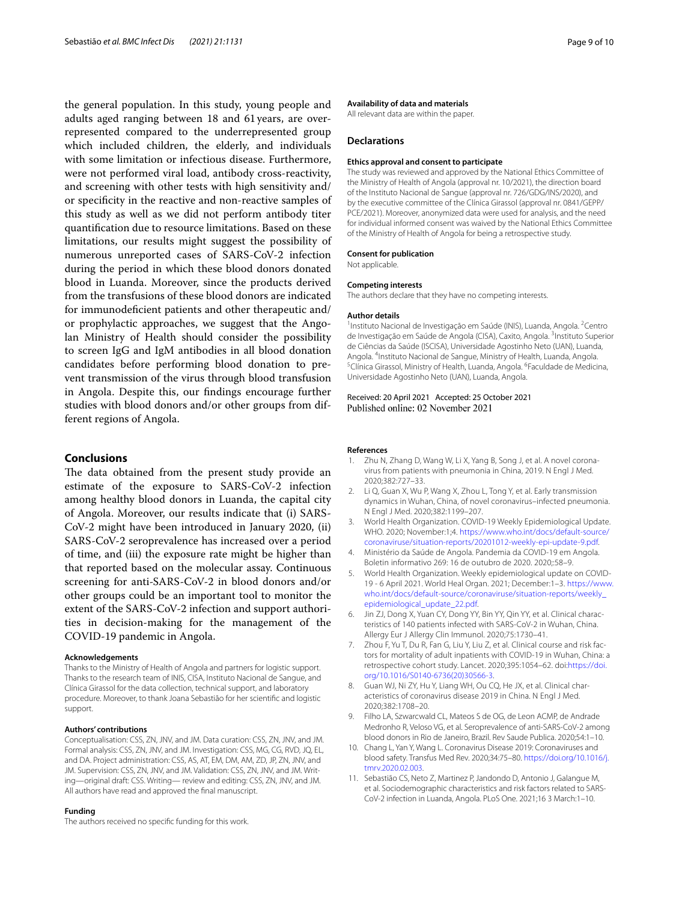the general population. In this study, young people and adults aged ranging between 18 and 61 years, are overrepresented compared to the underrepresented group which included children, the elderly, and individuals with some limitation or infectious disease. Furthermore, were not performed viral load, antibody cross-reactivity, and screening with other tests with high sensitivity and/ or specifcity in the reactive and non-reactive samples of this study as well as we did not perform antibody titer quantifcation due to resource limitations. Based on these limitations, our results might suggest the possibility of numerous unreported cases of SARS-CoV-2 infection during the period in which these blood donors donated blood in Luanda. Moreover, since the products derived from the transfusions of these blood donors are indicated for immunodefcient patients and other therapeutic and/ or prophylactic approaches, we suggest that the Angolan Ministry of Health should consider the possibility to screen IgG and IgM antibodies in all blood donation candidates before performing blood donation to prevent transmission of the virus through blood transfusion in Angola. Despite this, our fndings encourage further studies with blood donors and/or other groups from different regions of Angola.

## **Conclusions**

The data obtained from the present study provide an estimate of the exposure to SARS-CoV-2 infection among healthy blood donors in Luanda, the capital city of Angola. Moreover, our results indicate that (i) SARS-CoV-2 might have been introduced in January 2020, (ii) SARS-CoV-2 seroprevalence has increased over a period of time, and (iii) the exposure rate might be higher than that reported based on the molecular assay. Continuous screening for anti-SARS-CoV-2 in blood donors and/or other groups could be an important tool to monitor the extent of the SARS-CoV-2 infection and support authorities in decision-making for the management of the COVID-19 pandemic in Angola.

#### **Acknowledgements**

Thanks to the Ministry of Health of Angola and partners for logistic support. Thanks to the research team of INIS, CISA, Instituto Nacional de Sangue, and Clínica Girassol for the data collection, technical support, and laboratory procedure. Moreover, to thank Joana Sebastião for her scientifc and logistic support.

#### **Authors' contributions**

Conceptualisation: CSS, ZN, JNV, and JM. Data curation: CSS, ZN, JNV, and JM. Formal analysis: CSS, ZN, JNV, and JM. Investigation: CSS, MG, CG, RVD, JQ, EL, and DA. Project administration: CSS, AS, AT, EM, DM, AM, ZD, JP, ZN, JNV, and JM. Supervision: CSS, ZN, JNV, and JM. Validation: CSS, ZN, JNV, and JM. Writing—original draft: CSS. Writing— review and editing: CSS, ZN, JNV, and JM. All authors have read and approved the fnal manuscript.

#### **Funding**

The authors received no specifc funding for this work.

#### **Availability of data and materials**

All relevant data are within the paper.

#### **Declarations**

#### **Ethics approval and consent to participate**

The study was reviewed and approved by the National Ethics Committee of the Ministry of Health of Angola (approval nr. 10/2021), the direction board of the Instituto Nacional de Sangue (approval nr. 726/GDG/INS/2020), and by the executive committee of the Clínica Girassol (approval nr. 0841/GEPP/ PCE/2021). Moreover, anonymized data were used for analysis, and the need for individual informed consent was waived by the National Ethics Committee of the Ministry of Health of Angola for being a retrospective study.

#### **Consent for publication**

Not applicable.

#### **Competing interests**

The authors declare that they have no competing interests.

#### **Author details**

<sup>1</sup> Instituto Nacional de Investigação em Saúde (INIS), Luanda, Angola. <sup>2</sup> Centro de Investigação em Saúde de Angola (CISA), Caxito, Angola. <sup>3</sup>Instituto Superior de Ciências da Saúde (ISCISA), Universidade Agostinho Neto (UAN), Luanda, Angola. <sup>4</sup>Instituto Nacional de Sangue, Ministry of Health, Luanda, Angola.<br><sup>5</sup>Clínica Girassol, Ministry of Health, Luanda, Angola, <sup>6</sup>Eaculdade de Medici Clínica Girassol, Ministry of Health, Luanda, Angola. <sup>6</sup>Faculdade de Medicina, Universidade Agostinho Neto (UAN), Luanda, Angola.

## Received: 20 April 2021 Accepted: 25 October 2021

#### **References**

- <span id="page-8-0"></span>1. Zhu N, Zhang D, Wang W, Li X, Yang B, Song J, et al. A novel coronavirus from patients with pneumonia in China, 2019. N Engl J Med. 2020;382:727–33.
- <span id="page-8-1"></span>2. Li Q, Guan X, Wu P, Wang X, Zhou L, Tong Y, et al. Early transmission dynamics in Wuhan, China, of novel coronavirus–infected pneumonia. N Engl J Med. 2020;382:1199–207.
- <span id="page-8-2"></span>3. World Health Organization. COVID-19 Weekly Epidemiological Update. WHO. 2020; November:1;4. [https://www.who.int/docs/default-source/](https://www.who.int/docs/default-source/coronaviruse/situation-reports/20201012-weekly-epi-update-9.pdf) [coronaviruse/situation-reports/20201012-weekly-epi-update-9.pdf.](https://www.who.int/docs/default-source/coronaviruse/situation-reports/20201012-weekly-epi-update-9.pdf)
- <span id="page-8-3"></span>4. Ministério da Saúde de Angola. Pandemia da COVID-19 em Angola. Boletin informativo 269: 16 de outubro de 2020. 2020;:58–9.
- <span id="page-8-4"></span>5. World Health Organization. Weekly epidemiological update on COVID-19 - 6 April 2021. World Heal Organ. 2021; December:1–3. [https://www.](https://www.who.int/docs/default-source/coronaviruse/situation-reports/weekly_epidemiological_update_22.pdf) [who.int/docs/default-source/coronaviruse/situation-reports/weekly\\_](https://www.who.int/docs/default-source/coronaviruse/situation-reports/weekly_epidemiological_update_22.pdf) [epidemiological\\_update\\_22.pdf.](https://www.who.int/docs/default-source/coronaviruse/situation-reports/weekly_epidemiological_update_22.pdf)
- <span id="page-8-5"></span>6. Jin ZJ, Dong X, Yuan CY, Dong YY, Bin YY, Qin YY, et al. Clinical characteristics of 140 patients infected with SARS-CoV-2 in Wuhan, China. Allergy Eur J Allergy Clin Immunol. 2020;75:1730–41.
- 7. Zhou F, Yu T, Du R, Fan G, Liu Y, Liu Z, et al. Clinical course and risk factors for mortality of adult inpatients with COVID-19 in Wuhan, China: a retrospective cohort study. Lancet. 2020;395:1054–62. doi[:https://doi.](https://doi.org/10.1016/S0140-6736(20)30566-3) [org/10.1016/S0140-6736\(20\)30566-3](https://doi.org/10.1016/S0140-6736(20)30566-3).
- <span id="page-8-6"></span>8. Guan WJ, Ni ZY, Hu Y, Liang WH, Ou CQ, He JX, et al. Clinical characteristics of coronavirus disease 2019 in China. N Engl J Med. 2020;382:1708–20.
- <span id="page-8-7"></span>9. Filho LA, Szwarcwald CL, Mateos S de OG, de Leon ACMP, de Andrade Medronho R, Veloso VG, et al. Seroprevalence of anti-SARS-CoV-2 among blood donors in Rio de Janeiro, Brazil. Rev Saude Publica. 2020;54:1–10.
- <span id="page-8-8"></span>10. Chang L, Yan Y, Wang L. Coronavirus Disease 2019: Coronaviruses and blood safety. Transfus Med Rev. 2020;34:75–80. [https://doi.org/10.1016/j.](https://doi.org/10.1016/j.tmrv.2020.02.003) [tmrv.2020.02.003.](https://doi.org/10.1016/j.tmrv.2020.02.003)
- <span id="page-8-9"></span>11. Sebastião CS, Neto Z, Martinez P, Jandondo D, Antonio J, Galangue M, et al. Sociodemographic characteristics and risk factors related to SARS-CoV-2 infection in Luanda, Angola. PLoS One. 2021;16 3 March:1–10.